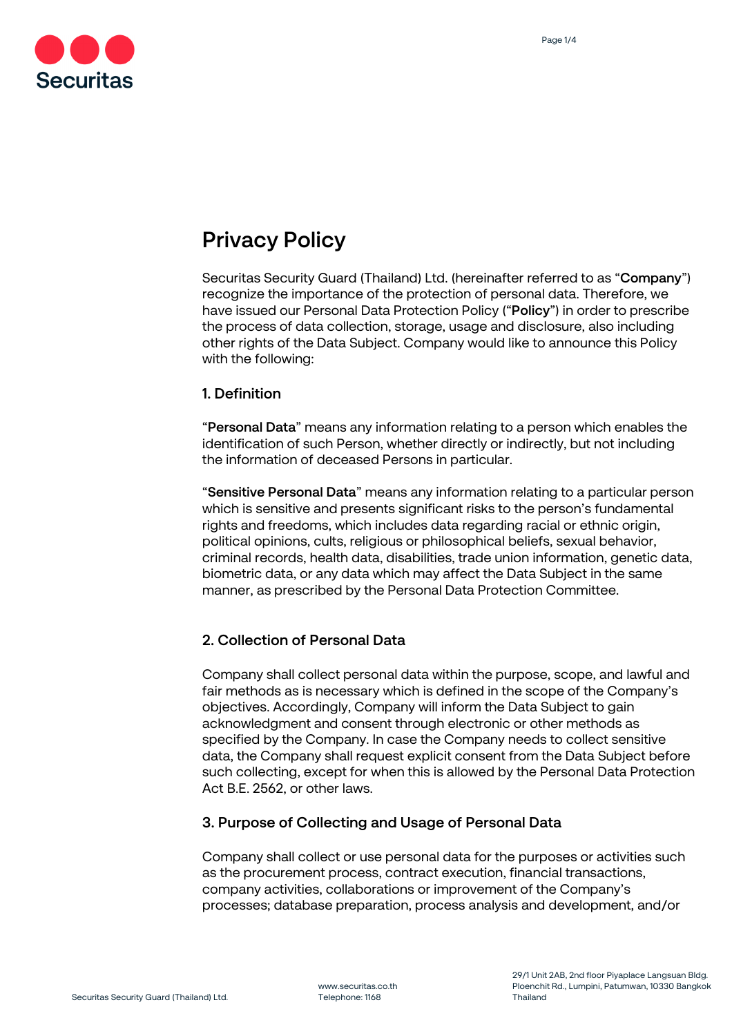

# Privacy Policy

Securitas Security Guard (Thailand) Ltd. (hereinafter referred to as "Company") recognize the importance of the protection of personal data. Therefore, we have issued our Personal Data Protection Policy ("Policy") in order to prescribe the process of data collection, storage, usage and disclosure, also including other rights of the Data Subject. Company would like to announce this Policy with the following:

#### 1. Definition

"Personal Data" means any information relating to a person which enables the identification of such Person, whether directly or indirectly, but not including the information of deceased Persons in particular.

"Sensitive Personal Data" means any information relating to a particular person which is sensitive and presents significant risks to the person's fundamental rights and freedoms, which includes data regarding racial or ethnic origin, political opinions, cults, religious or philosophical beliefs, sexual behavior, criminal records, health data, disabilities, trade union information, genetic data, biometric data, or any data which may affect the Data Subject in the same manner, as prescribed by the Personal Data Protection Committee.

## 2. Collection of Personal Data

Company shall collect personal data within the purpose, scope, and lawful and fair methods as is necessary which is defined in the scope of the Company's objectives. Accordingly, Company will inform the Data Subject to gain acknowledgment and consent through electronic or other methods as specified by the Company. In case the Company needs to collect sensitive data, the Company shall request explicit consent from the Data Subject before such collecting, except for when this is allowed by the Personal Data Protection Act B.E. 2562, or other laws.

### 3. Purpose of Collecting and Usage of Personal Data

Company shall collect or use personal data for the purposes or activities such as the procurement process, contract execution, financial transactions, company activities, collaborations or improvement of the Company's processes; database preparation, process analysis and development, and/or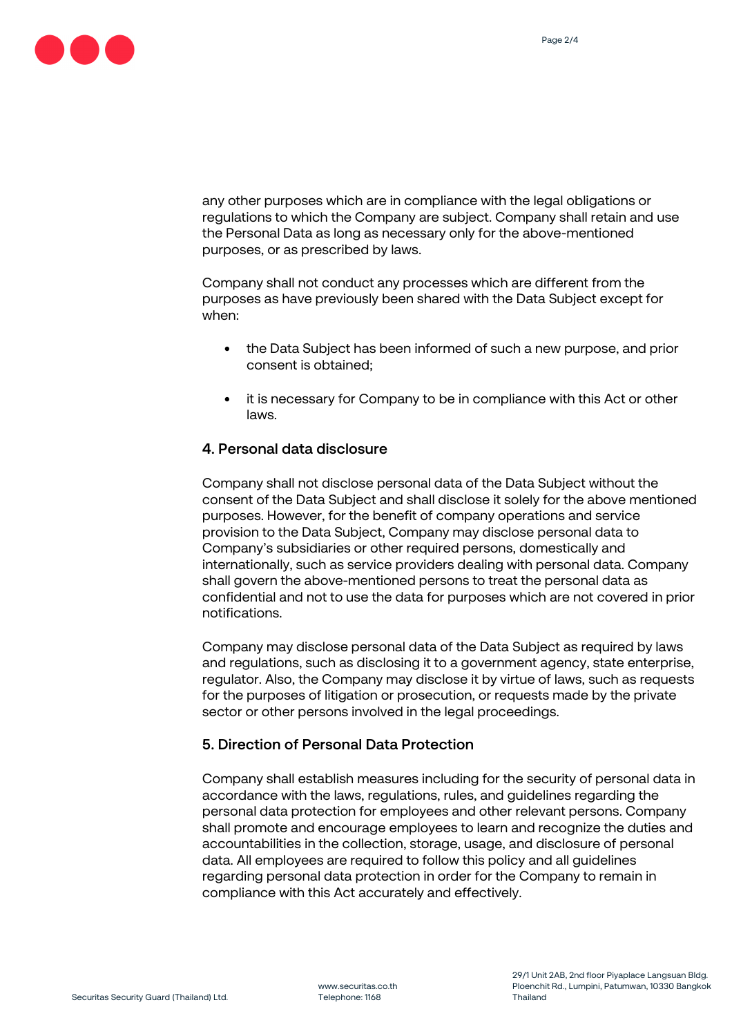

any other purposes which are in compliance with the legal obligations or regulations to which the Company are subject. Company shall retain and use the Personal Data as long as necessary only for the above-mentioned purposes, or as prescribed by laws.

Company shall not conduct any processes which are different from the purposes as have previously been shared with the Data Subject except for when:

- the Data Subject has been informed of such a new purpose, and prior consent is obtained;
- it is necessary for Company to be in compliance with this Act or other laws.

### 4. Personal data disclosure

Company shall not disclose personal data of the Data Subject without the consent of the Data Subject and shall disclose it solely for the above mentioned purposes. However, for the benefit of company operations and service provision to the Data Subject, Company may disclose personal data to Company's subsidiaries or other required persons, domestically and internationally, such as service providers dealing with personal data. Company shall govern the above-mentioned persons to treat the personal data as confidential and not to use the data for purposes which are not covered in prior notifications.

Company may disclose personal data of the Data Subject as required by laws and regulations, such as disclosing it to a government agency, state enterprise, regulator. Also, the Company may disclose it by virtue of laws, such as requests for the purposes of litigation or prosecution, or requests made by the private sector or other persons involved in the legal proceedings.

### 5. Direction of Personal Data Protection

Company shall establish measures including for the security of personal data in accordance with the laws, regulations, rules, and guidelines regarding the personal data protection for employees and other relevant persons. Company shall promote and encourage employees to learn and recognize the duties and accountabilities in the collection, storage, usage, and disclosure of personal data. All employees are required to follow this policy and all guidelines regarding personal data protection in order for the Company to remain in compliance with this Act accurately and effectively.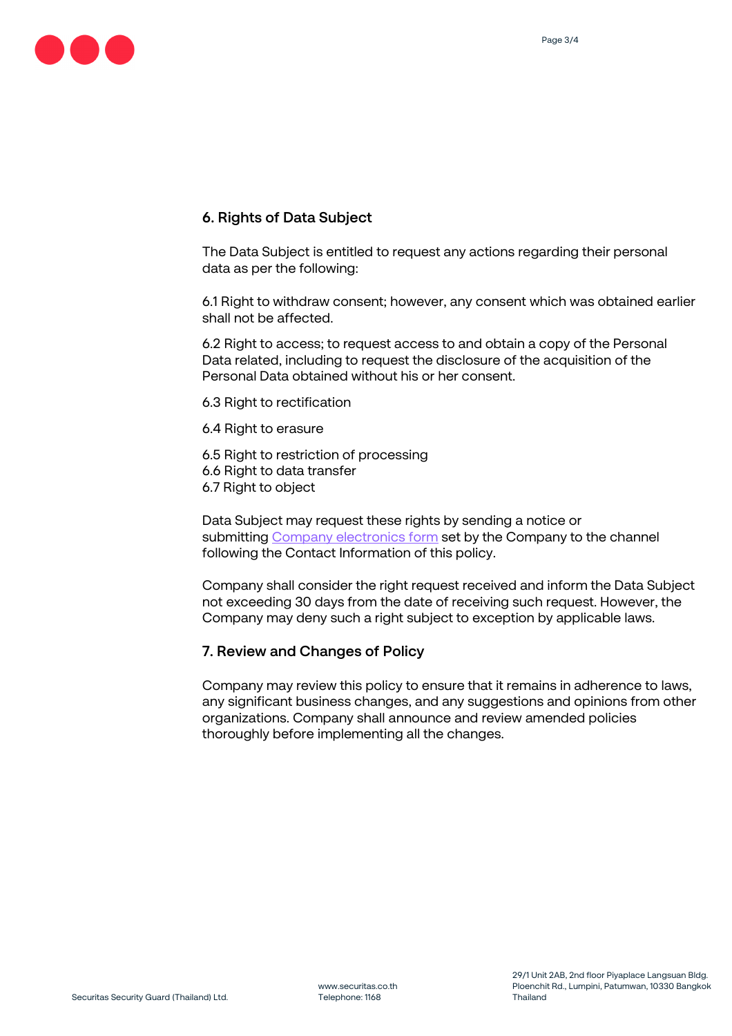

### 6. Rights of Data Subject

The Data Subject is entitled to request any actions regarding their personal data as per the following:

6.1 Right to withdraw consent; however, any consent which was obtained earlier shall not be affected.

6.2 Right to access; to request access to and obtain a copy of the Personal Data related, including to request the disclosure of the acquisition of the Personal Data obtained without his or her consent.

6.3 Right to rectification

6.4 Right to erasure

6.5 Right to restriction of processing 6.6 Right to data transfer 6.7 Right to object

Data Subject may request these rights by sending a notice or submitting Company electronics form set by the Company to the channel following the Contact Information of this policy.

Company shall consider the right request received and inform the Data Subject not exceeding 30 days from the date of receiving such request. However, the Company may deny such a right subject to exception by applicable laws.

#### 7. Review and Changes of Policy

Company may review this policy to ensure that it remains in adherence to laws, any significant business changes, and any suggestions and opinions from other organizations. Company shall announce and review amended policies thoroughly before implementing all the changes.